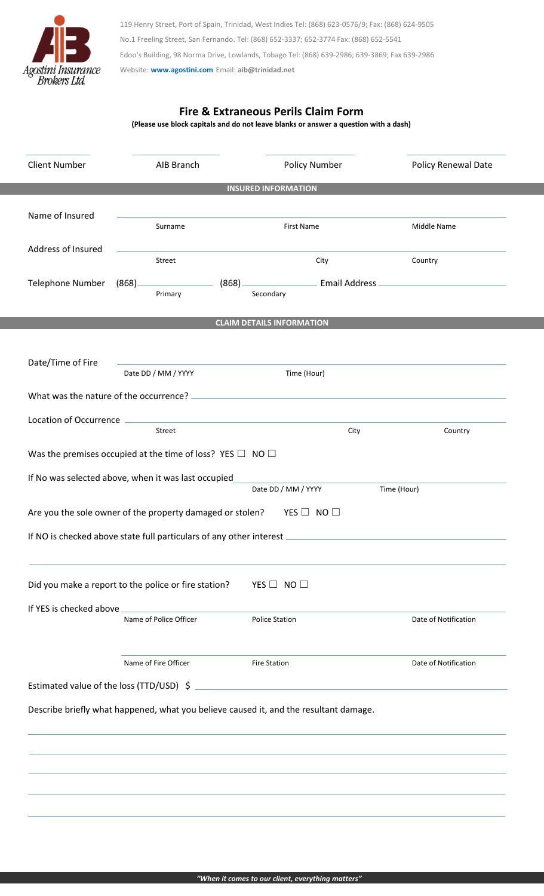

119 Henry Street, Port of Spain, Trinidad, West Indies Tel: (868) 623-0576/9; Fax: (868) 624-9505 No.1 Freeling Street, San Fernando. Tel: (868) 652-3337; 652-3774 Fax: (868) 652-5541 Edoo's Building, 98 Norma Drive, Lowlands, Tobago Tel: (868) 639-2986; 639-3869; Fax 639-2986 Website: **[www.agostini.com](http://www.agostini.com/)** Email: **aib@trinidad.net**

## **Fire & Extraneous Perils Claim Form**

**(Please use block capitals and do not leave blanks or answer a question with a dash)**

| <b>Client Number</b>                                                                  | AIB Branch                                           | <b>Policy Number</b>                                        |               | <b>Policy Renewal Date</b> |  |  |  |
|---------------------------------------------------------------------------------------|------------------------------------------------------|-------------------------------------------------------------|---------------|----------------------------|--|--|--|
| <b>INSURED INFORMATION</b>                                                            |                                                      |                                                             |               |                            |  |  |  |
| Name of Insured                                                                       |                                                      |                                                             |               |                            |  |  |  |
|                                                                                       | Surname                                              | <b>First Name</b>                                           |               | Middle Name                |  |  |  |
| Address of Insured                                                                    |                                                      |                                                             |               |                            |  |  |  |
|                                                                                       | Street                                               | City                                                        |               | Country                    |  |  |  |
| <b>Telephone Number</b>                                                               | (868)<br>Primary                                     | (868)<br>Secondary                                          | Email Address |                            |  |  |  |
|                                                                                       |                                                      |                                                             |               |                            |  |  |  |
| <b>CLAIM DETAILS INFORMATION</b>                                                      |                                                      |                                                             |               |                            |  |  |  |
|                                                                                       |                                                      |                                                             |               |                            |  |  |  |
| Date/Time of Fire                                                                     | Date DD / MM / YYYY                                  | Time (Hour)                                                 |               |                            |  |  |  |
| What was the nature of the occurrence?                                                |                                                      |                                                             |               |                            |  |  |  |
| Location of Occurrence                                                                |                                                      |                                                             |               |                            |  |  |  |
|                                                                                       | Street                                               |                                                             | City          | Country                    |  |  |  |
| Was the premises occupied at the time of loss? YES $\Box$ NO $\Box$                   |                                                      |                                                             |               |                            |  |  |  |
| If No was selected above, when it was last occupied                                   |                                                      |                                                             |               |                            |  |  |  |
|                                                                                       |                                                      | Date DD / MM / YYYY                                         |               | Time (Hour)                |  |  |  |
| Are you the sole owner of the property damaged or stolen?<br>YES $\Box$ NO $\Box$     |                                                      |                                                             |               |                            |  |  |  |
| If NO is checked above state full particulars of any other interest                   |                                                      |                                                             |               |                            |  |  |  |
|                                                                                       |                                                      |                                                             |               |                            |  |  |  |
|                                                                                       | Did you make a report to the police or fire station? | YES $\Box$ NO $\Box$                                        |               |                            |  |  |  |
|                                                                                       |                                                      |                                                             |               |                            |  |  |  |
| If YES is checked above                                                               | Name of Police Officer                               | <b>Police Station</b>                                       |               | Date of Notification       |  |  |  |
|                                                                                       |                                                      |                                                             |               |                            |  |  |  |
|                                                                                       | Name of Fire Officer                                 | <b>Fire Station</b>                                         |               | Date of Notification       |  |  |  |
| Estimated value of the loss (TTD/USD) \$                                              |                                                      | the control of the control of the control of the control of |               |                            |  |  |  |
|                                                                                       |                                                      |                                                             |               |                            |  |  |  |
| Describe briefly what happened, what you believe caused it, and the resultant damage. |                                                      |                                                             |               |                            |  |  |  |
|                                                                                       |                                                      |                                                             |               |                            |  |  |  |
|                                                                                       |                                                      |                                                             |               |                            |  |  |  |
|                                                                                       |                                                      |                                                             |               |                            |  |  |  |
|                                                                                       |                                                      |                                                             |               |                            |  |  |  |